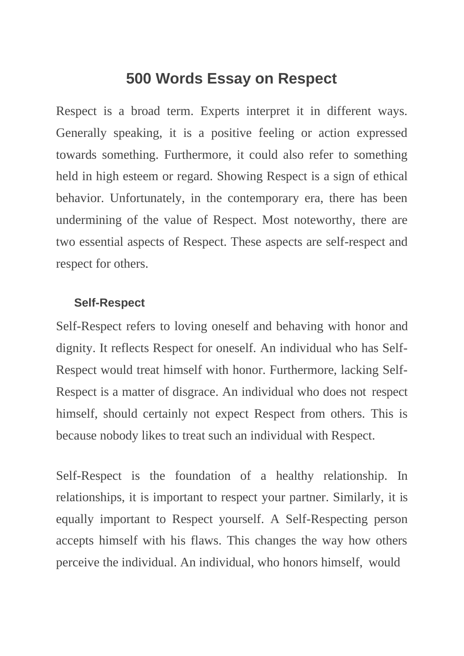## **500 Words Essay on Respect**

Respect is a broad term. Experts interpret it in different ways. Generally speaking, it is a positive feeling or action expressed towards something. Furthermore, it could also refer to something held in high esteem or regard. Showing Respect is a sign of ethical behavior. Unfortunately, in the contemporary era, there has been undermining of the value of Respect. Most noteworthy, there are two essential aspects of Respect. These aspects are self-respect and respect for others.

## **Self-Respect**

Self-Respect refers to loving oneself and behaving with honor and dignity. It reflects Respect for oneself. An individual who has Self-Respect would treat himself with honor. Furthermore, lacking Self-Respect is a matter of disgrace. An individual who does not respect himself, should certainly not expect Respect from others. This is because nobody likes to treat such an individual with Respect.

Self-Respect is the foundation of a healthy relationship. In relationships, it is important to respect your partner. Similarly, it is equally important to Respect yourself. A Self-Respecting person accepts himself with his flaws. This changes the way how others perceive the individual. An individual, who honors himself, would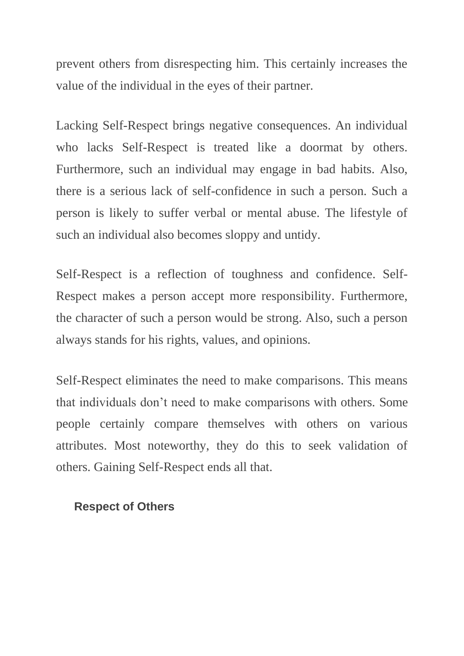prevent others from disrespecting him. This certainly increases the value of the individual in the eyes of their partner.

Lacking Self-Respect brings negative consequences. An individual who lacks Self-Respect is treated like a doormat by others. Furthermore, such an individual may engage in bad habits. Also, there is a serious lack of self-confidence in such a person. Such a person is likely to suffer verbal or mental abuse. The lifestyle of such an individual also becomes sloppy and untidy.

Self-Respect is a reflection of toughness and confidence. Self-Respect makes a person accept more responsibility. Furthermore, the character of such a person would be strong. Also, such a person always stands for his rights, values, and opinions.

Self-Respect eliminates the need to make comparisons. This means that individuals don't need to make comparisons with others. Some people certainly compare themselves with others on various attributes. Most noteworthy, they do this to seek validation of others. Gaining Self-Respect ends all that.

## **Respect of Others**